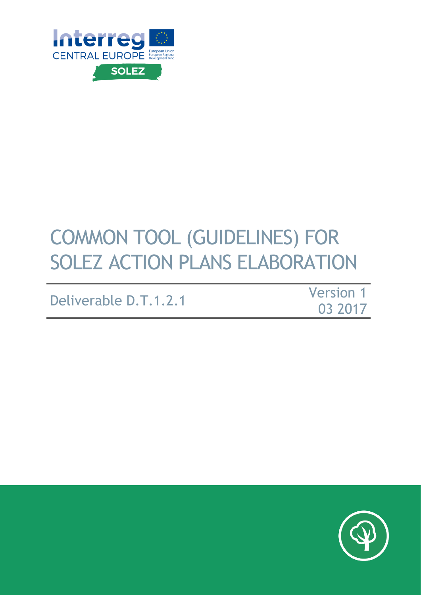

# COMMON TOOL (GUIDELINES) FOR SOLEZ ACTION PLANS ELABORATION

# Deliverable D.T.1.2.1

Version 1 03 2017

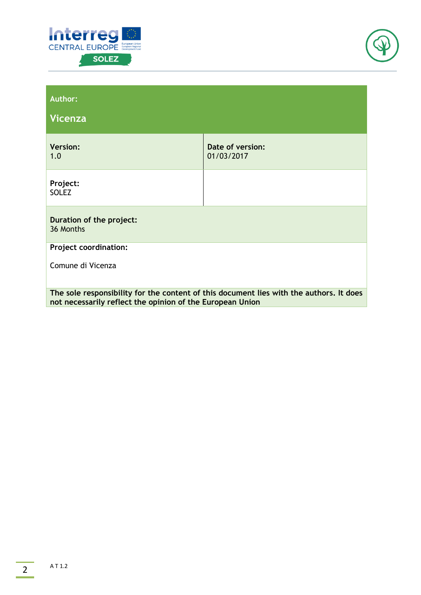



| <b>Author:</b><br>Vicenza                                                                                                                            |                                |  |
|------------------------------------------------------------------------------------------------------------------------------------------------------|--------------------------------|--|
| <b>Version:</b><br>1.0                                                                                                                               | Date of version:<br>01/03/2017 |  |
| Project:<br><b>SOLEZ</b>                                                                                                                             |                                |  |
| Duration of the project:<br>36 Months                                                                                                                |                                |  |
| <b>Project coordination:</b>                                                                                                                         |                                |  |
| Comune di Vicenza                                                                                                                                    |                                |  |
| The sole responsibility for the content of this document lies with the authors. It does<br>not necessarily reflect the opinion of the European Union |                                |  |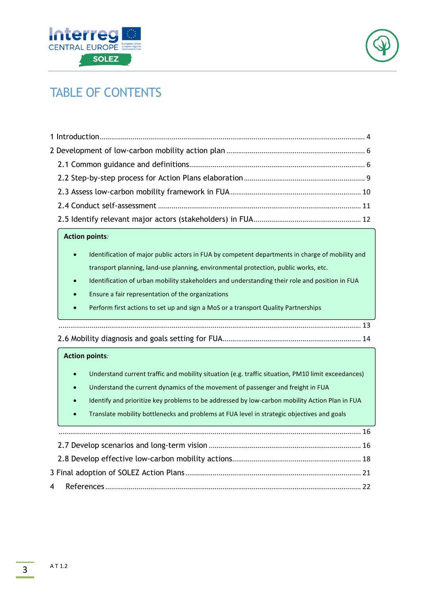



# TABLE OF CONTENTS

#### **Action points***:*

- [Identification of major public actors in FUA by competent departments in charge of mobility and](#page-12-0)  transport planning, land-use planning, environmental protection, public works, etc.
- Identification of urban mobility stakeholders and understanding their role and position in FUA
- Ensure a fair representation of the organizations
- Perform first actions to set up and sign a MoS or a transport Quality Partnerships

[...........................................................................................................................................................](#page-12-0) 13

[2.6 Mobility diagnosis and goals setting for FUA](#page-13-0)....................................................................... 14

#### **Action points***:*

- Understand current traffic and mobility situation (e.g. traffic situation, PM10 limit exceedances)
- Understand the current dynamics of the movement of passenger and freight in FUA
- [Identify and prioritize key problems to be addressed by low-carbon mobility Action Plan in FUA](#page-15-0)
- Translate mobility bottlenecks and problems at FUA level in strategic objectives and goals

| $16$ |  |
|------|--|
|      |  |
|      |  |
|      |  |
|      |  |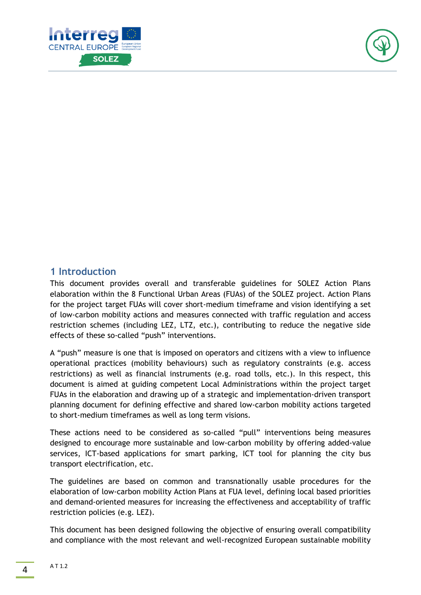



# <span id="page-3-0"></span>**1 Introduction**

This document provides overall and transferable guidelines for SOLEZ Action Plans elaboration within the 8 Functional Urban Areas (FUAs) of the SOLEZ project. Action Plans for the project target FUAs will cover short-medium timeframe and vision identifying a set of low-carbon mobility actions and measures connected with traffic regulation and access restriction schemes (including LEZ, LTZ, etc.), contributing to reduce the negative side effects of these so-called "push" interventions.

A "push" measure is one that is imposed on operators and citizens with a view to influence operational practices (mobility behaviours) such as regulatory constraints (e.g. access restrictions) as well as financial instruments (e.g. road tolls, etc.). In this respect, this document is aimed at guiding competent Local Administrations within the project target FUAs in the elaboration and drawing up of a strategic and implementation-driven transport planning document for defining effective and shared low-carbon mobility actions targeted to short-medium timeframes as well as long term visions.

These actions need to be considered as so-called "pull" interventions being measures designed to encourage more sustainable and low-carbon mobility by offering added-value services, ICT-based applications for smart parking, ICT tool for planning the city bus transport electrification, etc.

The guidelines are based on common and transnationally usable procedures for the elaboration of low-carbon mobility Action Plans at FUA level, defining local based priorities and demand-oriented measures for increasing the effectiveness and acceptability of traffic restriction policies (e.g. LEZ).

This document has been designed following the objective of ensuring overall compatibility and compliance with the most relevant and well-recognized European sustainable mobility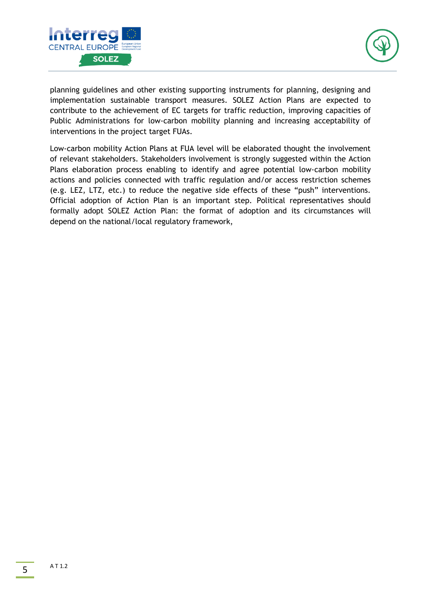



planning guidelines and other existing supporting instruments for planning, designing and implementation sustainable transport measures. SOLEZ Action Plans are expected to contribute to the achievement of EC targets for traffic reduction, improving capacities of Public Administrations for low-carbon mobility planning and increasing acceptability of interventions in the project target FUAs.

Low-carbon mobility Action Plans at FUA level will be elaborated thought the involvement of relevant stakeholders. Stakeholders involvement is strongly suggested within the Action Plans elaboration process enabling to identify and agree potential low-carbon mobility actions and policies connected with traffic regulation and/or access restriction schemes (e.g. LEZ, LTZ, etc.) to reduce the negative side effects of these "push" interventions. Official adoption of Action Plan is an important step. Political representatives should formally adopt SOLEZ Action Plan: the format of adoption and its circumstances will depend on the national/local regulatory framework,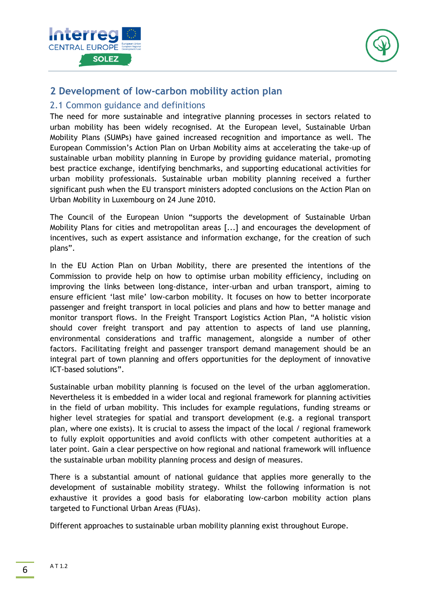



# <span id="page-5-0"></span>**2 Development of low-carbon mobility action plan**

## <span id="page-5-1"></span>2.1 Common guidance and definitions

The need for more sustainable and integrative planning processes in sectors related to urban mobility has been widely recognised. At the European level, Sustainable Urban Mobility Plans (SUMPs) have gained increased recognition and importance as well. The European Commission's Action Plan on Urban Mobility aims at accelerating the take-up of sustainable urban mobility planning in Europe by providing guidance material, promoting best practice exchange, identifying benchmarks, and supporting educational activities for urban mobility professionals. Sustainable urban mobility planning received a further significant push when the EU transport ministers adopted conclusions on the Action Plan on Urban Mobility in Luxembourg on 24 June 2010.

The Council of the European Union "supports the development of Sustainable Urban Mobility Plans for cities and metropolitan areas [...] and encourages the development of incentives, such as expert assistance and information exchange, for the creation of such plans".

In the EU Action Plan on Urban Mobility, there are presented the intentions of the Commission to provide help on how to optimise urban mobility efficiency, including on improving the links between long-distance, inter-urban and urban transport, aiming to ensure efficient 'last mile' low-carbon mobility. It focuses on how to better incorporate passenger and freight transport in local policies and plans and how to better manage and monitor transport flows. In the Freight Transport Logistics Action Plan, "A holistic vision should cover freight transport and pay attention to aspects of land use planning, environmental considerations and traffic management, alongside a number of other factors. Facilitating freight and passenger transport demand management should be an integral part of town planning and offers opportunities for the deployment of innovative ICT-based solutions".

Sustainable urban mobility planning is focused on the level of the urban agglomeration. Nevertheless it is embedded in a wider local and regional framework for planning activities in the field of urban mobility. This includes for example regulations, funding streams or higher level strategies for spatial and transport development (e.g. a regional transport plan, where one exists). It is crucial to assess the impact of the local / regional framework to fully exploit opportunities and avoid conflicts with other competent authorities at a later point. Gain a clear perspective on how regional and national framework will influence the sustainable urban mobility planning process and design of measures.

There is a substantial amount of national guidance that applies more generally to the development of sustainable mobility strategy. Whilst the following information is not exhaustive it provides a good basis for elaborating low-carbon mobility action plans targeted to Functional Urban Areas (FUAs).

Different approaches to sustainable urban mobility planning exist throughout Europe.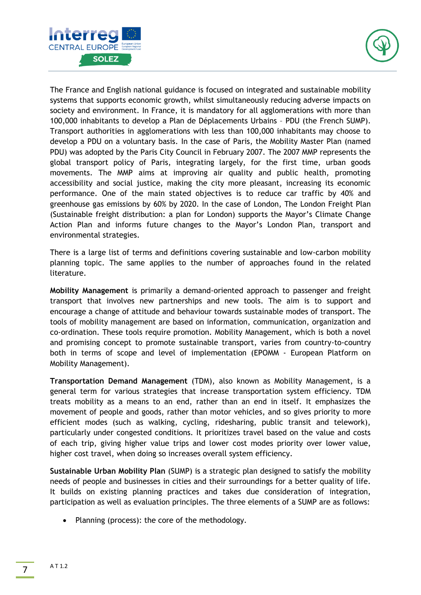



The France and English national guidance is focused on integrated and sustainable mobility systems that supports economic growth, whilst simultaneously reducing adverse impacts on society and environment. In France, it is mandatory for all agglomerations with more than 100,000 inhabitants to develop a Plan de Déplacements Urbains – PDU (the French SUMP). Transport authorities in agglomerations with less than 100,000 inhabitants may choose to develop a PDU on a voluntary basis. In the case of Paris, the Mobility Master Plan (named PDU) was adopted by the Paris City Council in February 2007. The 2007 MMP represents the global transport policy of Paris, integrating largely, for the first time, urban goods movements. The MMP aims at improving air quality and public health, promoting accessibility and social justice, making the city more pleasant, increasing its economic performance. One of the main stated objectives is to reduce car traffic by 40% and greenhouse gas emissions by 60% by 2020. In the case of London, The London Freight Plan (Sustainable freight distribution: a plan for London) supports the Mayor's Climate Change Action Plan and informs future changes to the Mayor's London Plan, transport and environmental strategies.

There is a large list of terms and definitions covering sustainable and low-carbon mobility planning topic. The same applies to the number of approaches found in the related literature.

**Mobility Management** is primarily a demand-oriented approach to passenger and freight transport that involves new partnerships and new tools. The aim is to support and encourage a change of attitude and behaviour towards sustainable modes of transport. The tools of mobility management are based on information, communication, organization and co-ordination. These tools require promotion. Mobility Management, which is both a novel and promising concept to promote sustainable transport, varies from country-to-country both in terms of scope and level of implementation (EPOMM - European Platform on Mobility Management).

**Transportation Demand Management** (TDM), also known as Mobility Management, is a general term for various strategies that increase transportation system efficiency. TDM treats mobility as a means to an end, rather than an end in itself. It emphasizes the movement of people and goods, rather than motor vehicles, and so gives priority to more efficient modes (such as walking, cycling, ridesharing, public transit and telework), particularly under congested conditions. It prioritizes travel based on the value and costs of each trip, giving higher value trips and lower cost modes priority over lower value, higher cost travel, when doing so increases overall system efficiency.

**Sustainable Urban Mobility Plan** (SUMP) is a strategic plan designed to satisfy the mobility needs of people and businesses in cities and their surroundings for a better quality of life. It builds on existing planning practices and takes due consideration of integration, participation as well as evaluation principles. The three elements of a SUMP are as follows:

• Planning (process): the core of the methodology.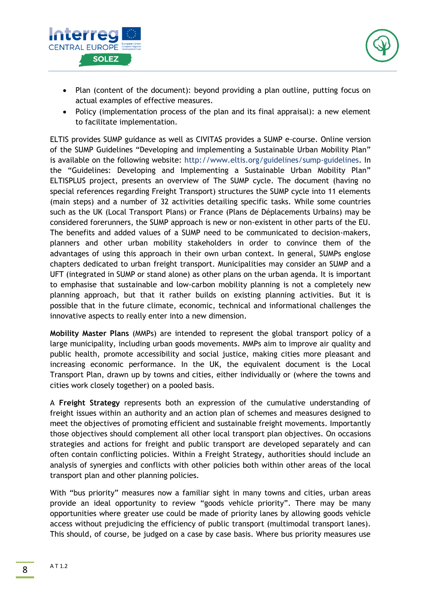



- Plan (content of the document): beyond providing a plan outline, putting focus on actual examples of effective measures.
- Policy (implementation process of the plan and its final appraisal): a new element to facilitate implementation.

ELTIS provides SUMP guidance as well as CIVITAS provides a SUMP e-course. Online version of the SUMP Guidelines "Developing and implementing a Sustainable Urban Mobility Plan" is available on the following website: [http://www.eltis.org/guidelines/sump-guidelines.](http://www.eltis.org/guidelines/sump-guidelines) In the "Guidelines: Developing and Implementing a Sustainable Urban Mobility Plan" ELTISPLUS project, presents an overview of The SUMP cycle. The document (having no special references regarding Freight Transport) structures the SUMP cycle into 11 elements (main steps) and a number of 32 activities detailing specific tasks. While some countries such as the UK (Local Transport Plans) or France (Plans de Déplacements Urbains) may be considered forerunners, the SUMP approach is new or non-existent in other parts of the EU. The benefits and added values of a SUMP need to be communicated to decision-makers, planners and other urban mobility stakeholders in order to convince them of the advantages of using this approach in their own urban context. In general, SUMPs englose chapters dedicated to urban freight transport. Municipalities may consider an SUMP and a UFT (integrated in SUMP or stand alone) as other plans on the urban agenda. It is important to emphasise that sustainable and low-carbon mobility planning is not a completely new planning approach, but that it rather builds on existing planning activities. But it is possible that in the future climate, economic, technical and informational challenges the innovative aspects to really enter into a new dimension.

**Mobility Master Plans** (MMPs) are intended to represent the global transport policy of a large municipality, including urban goods movements. MMPs aim to improve air quality and public health, promote accessibility and social justice, making cities more pleasant and increasing economic performance. In the UK, the equivalent document is the Local Transport Plan, drawn up by towns and cities, either individually or (where the towns and cities work closely together) on a pooled basis.

A **Freight Strategy** represents both an expression of the cumulative understanding of freight issues within an authority and an action plan of schemes and measures designed to meet the objectives of promoting efficient and sustainable freight movements. Importantly those objectives should complement all other local transport plan objectives. On occasions strategies and actions for freight and public transport are developed separately and can often contain conflicting policies. Within a Freight Strategy, authorities should include an analysis of synergies and conflicts with other policies both within other areas of the local transport plan and other planning policies.

With "bus priority" measures now a familiar sight in many towns and cities, urban areas provide an ideal opportunity to review "goods vehicle priority". There may be many opportunities where greater use could be made of priority lanes by allowing goods vehicle access without prejudicing the efficiency of public transport (multimodal transport lanes). This should, of course, be judged on a case by case basis. Where bus priority measures use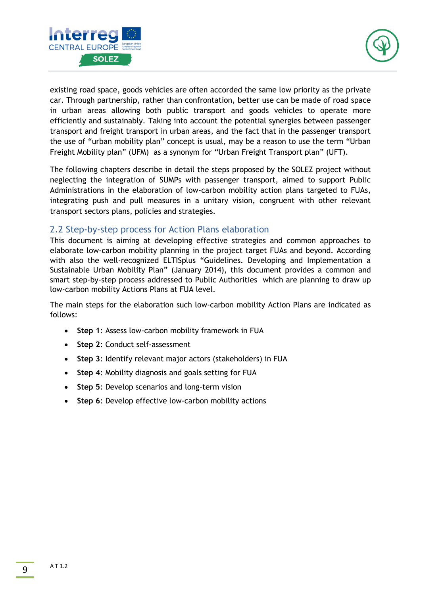



existing road space, goods vehicles are often accorded the same low priority as the private car. Through partnership, rather than confrontation, better use can be made of road space in urban areas allowing both public transport and goods vehicles to operate more efficiently and sustainably. Taking into account the potential synergies between passenger transport and freight transport in urban areas, and the fact that in the passenger transport the use of "urban mobility plan" concept is usual, may be a reason to use the term "Urban Freight Mobility plan" (UFM) as a synonym for "Urban Freight Transport plan" (UFT).

The following chapters describe in detail the steps proposed by the SOLEZ project without neglecting the integration of SUMPs with passenger transport, aimed to support Public Administrations in the elaboration of low-carbon mobility action plans targeted to FUAs, integrating push and pull measures in a unitary vision, congruent with other relevant transport sectors plans, policies and strategies.

# <span id="page-8-0"></span>2.2 Step-by-step process for Action Plans elaboration

This document is aiming at developing effective strategies and common approaches to elaborate low-carbon mobility planning in the project target FUAs and beyond. According with also the well-recognized ELTISplus "Guidelines. Developing and Implementation a Sustainable Urban Mobility Plan" (January 2014), this document provides a common and smart step-by-step process addressed to Public Authorities which are planning to draw up low-carbon mobility Actions Plans at FUA level.

The main steps for the elaboration such low-carbon mobility Action Plans are indicated as follows:

- **Step 1**: Assess low-carbon mobility framework in FUA
- **Step 2**: Conduct self-assessment
- **Step 3**: Identify relevant major actors (stakeholders) in FUA
- **Step 4**: Mobility diagnosis and goals setting for FUA
- **Step 5**: Develop scenarios and long-term vision
- **Step 6**: Develop effective low-carbon mobility actions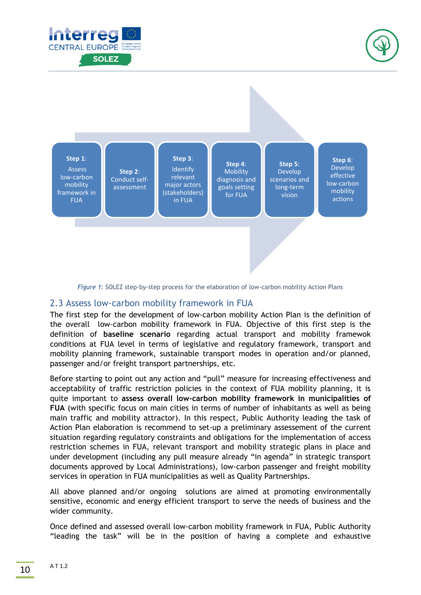





*Figure 1*: SOLEZ step-by-step process for the elaboration of low-carbon mobility Action Plans

# <span id="page-9-0"></span>2.3 Assess low-carbon mobility framework in FUA

The first step for the development of low-carbon mobility Action Plan is the definition of the overall low-carbon mobility framework in FUA. Objective of this first step is the definition of **baseline scenario** regarding actual transport and mobility framewok conditions at FUA level in terms of legislative and regulatory framework, transport and mobility planning framework, sustainable transport modes in operation and/or planned, passenger and/or freight transport partnerships, etc.

Before starting to point out any action and "pull" measure for increasing effectiveness and acceptability of traffic restriction policies in the context of FUA mobility planning, it is quite important to **assess overall low-carbon mobility framework in municipalities of FUA** (with specific focus on main cities in terms of number of inhabitants as well as being main traffic and mobility attractor). In this respect, Public Authority leading the task of Action Plan elaboration is recommend to set-up a preliminary assessement of the current situation regarding regulatory constraints and obligations for the implementation of access restriction schemes in FUA, relevant transport and mobility strategic plans in place and under development (including any pull measure already "in agenda" in strategic transport documents approved by Local Administrations), low-carbon passenger and freight mobility services in operation in FUA municipalities as well as Quality Partnerships.

All above planned and/or ongoing solutions are aimed at promoting environmentally sensitive, economic and energy efficient transport to serve the needs of business and the wider community.

Once defined and assessed overall low-carbon mobility framework in FUA, Public Authority "leading the task" will be in the position of having a complete and exhaustive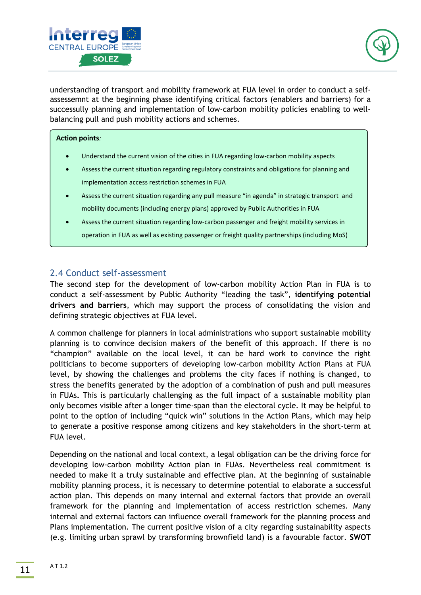



understanding of transport and mobility framework at FUA level in order to conduct a selfassessemnt at the beginning phase identifying critical factors (enablers and barriers) for a successully planning and implementation of low-carbon mobility policies enabling to wellbalancing pull and push mobility actions and schemes.

#### **Action points***:*

- Understand the current vision of the cities in FUA regarding low-carbon mobility aspects
- Assess the current situation regarding regulatory constraints and obligations for planning and implementation access restriction schemes in FUA
- Assess the current situation regarding any pull measure "in agenda" in strategic transport and mobility documents (including energy plans) approved by Public Authorities in FUA
- Assess the current situation regarding low-carbon passenger and freight mobility services in operation in FUA as well as existing passenger or freight quality partnerships (including MoS)

# <span id="page-10-0"></span>2.4 Conduct self-assessment

The second step for the development of low-carbon mobility Action Plan in FUA is to conduct a self-assessment by Public Authority "leading the task", **identifying potential drivers and barriers**, which may support the process of consolidating the vision and defining strategic objectives at FUA level.

A common challenge for planners in local administrations who support sustainable mobility planning is to convince decision makers of the benefit of this approach. If there is no "champion" available on the local level, it can be hard work to convince the right politicians to become supporters of developing low-carbon mobility Action Plans at FUA level, by showing the challenges and problems the city faces if nothing is changed, to stress the benefits generated by the adoption of a combination of push and pull measures in FUAs**.** This is particularly challenging as the full impact of a sustainable mobility plan only becomes visible after a longer time-span than the electoral cycle. It may be helpful to point to the option of including "quick win" solutions in the Action Plans, which may help to generate a positive response among citizens and key stakeholders in the short-term at FUA level.

Depending on the national and local context, a legal obligation can be the driving force for developing low-carbon mobility Action plan in FUAs. Nevertheless real commitment is needed to make it a truly sustainable and effective plan. At the beginning of sustainable mobility planning process, it is necessary to determine potential to elaborate a successful action plan. This depends on many internal and external factors that provide an overall framework for the planning and implementation of access restriction schemes. Many internal and external factors can influence overall framework for the planning process and Plans implementation. The current positive vision of a city regarding sustainability aspects (e.g. limiting urban sprawl by transforming brownfield land) is a favourable factor. **SWOT**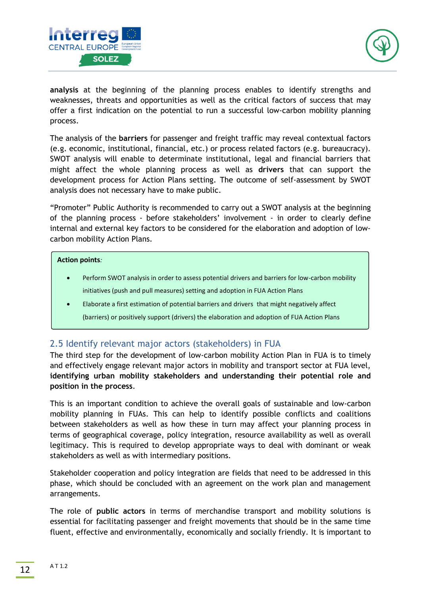



**analysis** at the beginning of the planning process enables to identify strengths and weaknesses, threats and opportunities as well as the critical factors of success that may offer a first indication on the potential to run a successful low-carbon mobility planning process.

The analysis of the **barriers** for passenger and freight traffic may reveal contextual factors (e.g. economic, institutional, financial, etc.) or process related factors (e.g. bureaucracy). SWOT analysis will enable to determinate institutional, legal and financial barriers that might affect the whole planning process as well as **drivers** that can support the development process for Action Plans setting. The outcome of self-assessment by SWOT analysis does not necessary have to make public.

"Promoter" Public Authority is recommended to carry out a SWOT analysis at the beginning of the planning process - before stakeholders' involvement - in order to clearly define internal and external key factors to be considered for the elaboration and adoption of lowcarbon mobility Action Plans.

#### **Action points***:*

- Perform SWOT analysis in order to assess potential drivers and barriers for low-carbon mobility initiatives (push and pull measures) setting and adoption in FUA Action Plans
- Elaborate a first estimation of potential barriers and drivers that might negatively affect (barriers) or positively support (drivers) the elaboration and adoption of FUA Action Plans

# <span id="page-11-0"></span>2.5 Identify relevant major actors (stakeholders) in FUA

The third step for the development of low-carbon mobility Action Plan in FUA is to timely and effectively engage relevant major actors in mobility and transport sector at FUA level, **identifying urban mobility stakeholders and understanding their potential role and position in the process**.

This is an important condition to achieve the overall goals of sustainable and low-carbon mobility planning in FUAs. This can help to identify possible conflicts and coalitions between stakeholders as well as how these in turn may affect your planning process in terms of geographical coverage, policy integration, resource availability as well as overall legitimacy. This is required to develop appropriate ways to deal with dominant or weak stakeholders as well as with intermediary positions.

Stakeholder cooperation and policy integration are fields that need to be addressed in this phase, which should be concluded with an agreement on the work plan and management arrangements.

The role of **public actors** in terms of merchandise transport and mobility solutions is essential for facilitating passenger and freight movements that should be in the same time fluent, effective and environmentally, economically and socially friendly. It is important to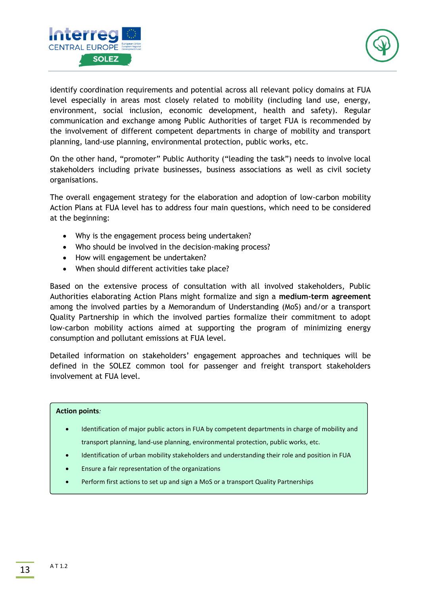



identify coordination requirements and potential across all relevant policy domains at FUA level especially in areas most closely related to mobility (including land use, energy, environment, social inclusion, economic development, health and safety). Regular communication and exchange among Public Authorities of target FUA is recommended by the involvement of different competent departments in charge of mobility and transport planning, land-use planning, environmental protection, public works, etc.

On the other hand, "promoter" Public Authority ("leading the task") needs to involve local stakeholders including private businesses, business associations as well as civil society organisations.

The overall engagement strategy for the elaboration and adoption of low-carbon mobility Action Plans at FUA level has to address four main questions, which need to be considered at the beginning:

- Why is the engagement process being undertaken?
- Who should be involved in the decision-making process?
- How will engagement be undertaken?
- When should different activities take place?

Based on the extensive process of consultation with all involved stakeholders, Public Authorities elaborating Action Plans might formalize and sign a **medium-term agreement**  among the involved parties by a Memorandum of Understanding (MoS) and/or a transport Quality Partnership in which the involved parties formalize their commitment to adopt low-carbon mobility actions aimed at supporting the program of minimizing energy consumption and pollutant emissions at FUA level.

Detailed information on stakeholders' engagement approaches and techniques will be defined in the SOLEZ common tool for passenger and freight transport stakeholders involvement at FUA level.

#### <span id="page-12-0"></span>**Action points***:*

- Identification of major public actors in FUA by competent departments in charge of mobility and transport planning, land-use planning, environmental protection, public works, etc.
- Identification of urban mobility stakeholders and understanding their role and position in FUA
- Ensure a fair representation of the organizations
- Perform first actions to set up and sign a MoS or a transport Quality Partnerships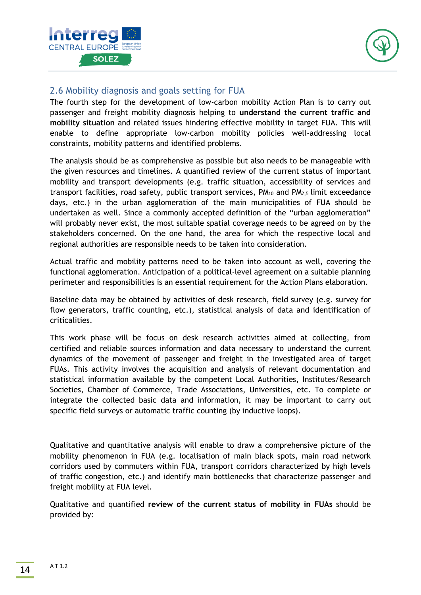



# <span id="page-13-0"></span>2.6 Mobility diagnosis and goals setting for FUA

The fourth step for the development of low-carbon mobility Action Plan is to carry out passenger and freight mobility diagnosis helping to **understand the current traffic and mobility situation** and related issues hindering effective mobility in target FUA. This will enable to define appropriate low-carbon mobility policies well-addressing local constraints, mobility patterns and identified problems.

The analysis should be as comprehensive as possible but also needs to be manageable with the given resources and timelines. A quantified review of the current status of important mobility and transport developments (e.g. traffic situation, accessibility of services and transport facilities, road safety, public transport services,  $PM_{10}$  and  $PM_{2,5}$  limit exceedance days, etc.) in the urban agglomeration of the main municipalities of FUA should be undertaken as well. Since a commonly accepted definition of the "urban agglomeration" will probably never exist, the most suitable spatial coverage needs to be agreed on by the stakeholders concerned. On the one hand, the area for which the respective local and regional authorities are responsible needs to be taken into consideration.

Actual traffic and mobility patterns need to be taken into account as well, covering the functional agglomeration. Anticipation of a political-level agreement on a suitable planning perimeter and responsibilities is an essential requirement for the Action Plans elaboration.

Baseline data may be obtained by activities of desk research, field survey (e.g. survey for flow generators, traffic counting, etc.), statistical analysis of data and identification of criticalities.

This work phase will be focus on desk research activities aimed at collecting, from certified and reliable sources information and data necessary to understand the current dynamics of the movement of passenger and freight in the investigated area of target FUAs. This activity involves the acquisition and analysis of relevant documentation and statistical information available by the competent Local Authorities, Institutes/Research Societies, Chamber of Commerce, Trade Associations, Universities, etc. To complete or integrate the collected basic data and information, it may be important to carry out specific field surveys or automatic traffic counting (by inductive loops).

Qualitative and quantitative analysis will enable to draw a comprehensive picture of the mobility phenomenon in FUA (e.g. localisation of main black spots, main road network corridors used by commuters within FUA, transport corridors characterized by high levels of traffic congestion, etc.) and identify main bottlenecks that characterize passenger and freight mobility at FUA level.

Qualitative and quantified **review of the current status of mobility in FUAs** should be provided by: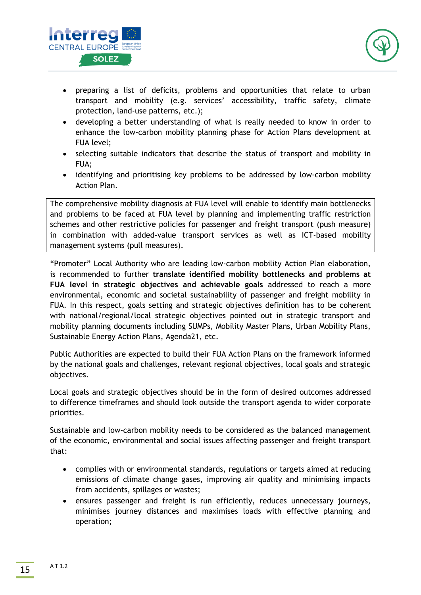



- preparing a list of deficits, problems and opportunities that relate to urban transport and mobility (e.g. services' accessibility, traffic safety, climate protection, land-use patterns, etc.);
- developing a better understanding of what is really needed to know in order to enhance the low-carbon mobility planning phase for Action Plans development at FUA level;
- selecting suitable indicators that describe the status of transport and mobility in FUA;
- identifying and prioritising key problems to be addressed by low-carbon mobility Action Plan.

The comprehensive mobility diagnosis at FUA level will enable to identify main bottlenecks and problems to be faced at FUA level by planning and implementing traffic restriction schemes and other restrictive policies for passenger and freight transport (push measure) in combination with added-value transport services as well as ICT-based mobility management systems (pull measures).

"Promoter" Local Authority who are leading low-carbon mobility Action Plan elaboration, is recommended to further **translate identified mobility bottlenecks and problems at FUA level in strategic objectives and achievable goals** addressed to reach a more environmental, economic and societal sustainability of passenger and freight mobility in FUA. In this respect, goals setting and strategic objectives definition has to be coherent with national/regional/local strategic objectives pointed out in strategic transport and mobility planning documents including SUMPs, Mobility Master Plans, Urban Mobility Plans, Sustainable Energy Action Plans, Agenda21, etc.

Public Authorities are expected to build their FUA Action Plans on the framework informed by the national goals and challenges, relevant regional objectives, local goals and strategic objectives.

Local goals and strategic objectives should be in the form of desired outcomes addressed to difference timeframes and should look outside the transport agenda to wider corporate priorities.

Sustainable and low-carbon mobility needs to be considered as the balanced management of the economic, environmental and social issues affecting passenger and freight transport that:

- complies with or environmental standards, regulations or targets aimed at reducing emissions of climate change gases, improving air quality and minimising impacts from accidents, spillages or wastes;
- ensures passenger and freight is run efficiently, reduces unnecessary journeys, minimises journey distances and maximises loads with effective planning and operation;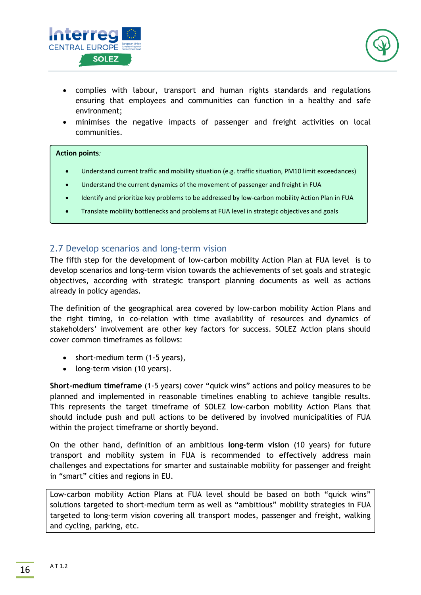



- complies with labour, transport and human rights standards and regulations ensuring that employees and communities can function in a healthy and safe environment;
- minimises the negative impacts of passenger and freight activities on local communities.

#### <span id="page-15-0"></span>**Action points***:*

- Understand current traffic and mobility situation (e.g. traffic situation, PM10 limit exceedances)
- Understand the current dynamics of the movement of passenger and freight in FUA
- Identify and prioritize key problems to be addressed by low-carbon mobility Action Plan in FUA
- Translate mobility bottlenecks and problems at FUA level in strategic objectives and goals

### <span id="page-15-1"></span>2.7 Develop scenarios and long-term vision

The fifth step for the development of low-carbon mobility Action Plan at FUA level is to develop scenarios and long-term vision towards the achievements of set goals and strategic objectives, according with strategic transport planning documents as well as actions already in policy agendas.

The definition of the geographical area covered by low-carbon mobility Action Plans and the right timing, in co-relation with time availability of resources and dynamics of stakeholders' involvement are other key factors for success. SOLEZ Action plans should cover common timeframes as follows:

- short-medium term (1-5 years),
- long-term vision (10 years).

**Short-medium timeframe** (1-5 years) cover "quick wins" actions and policy measures to be planned and implemented in reasonable timelines enabling to achieve tangible results. This represents the target timeframe of SOLEZ low-carbon mobility Action Plans that should include push and pull actions to be delivered by involved municipalities of FUA within the project timeframe or shortly beyond.

On the other hand, definition of an ambitious **long-term vision** (10 years) for future transport and mobility system in FUA is recommended to effectively address main challenges and expectations for smarter and sustainable mobility for passenger and freight in "smart" cities and regions in EU.

Low-carbon mobility Action Plans at FUA level should be based on both "quick wins" solutions targeted to short-medium term as well as "ambitious" mobility strategies in FUA targeted to long-term vision covering all transport modes, passenger and freight, walking and cycling, parking, etc.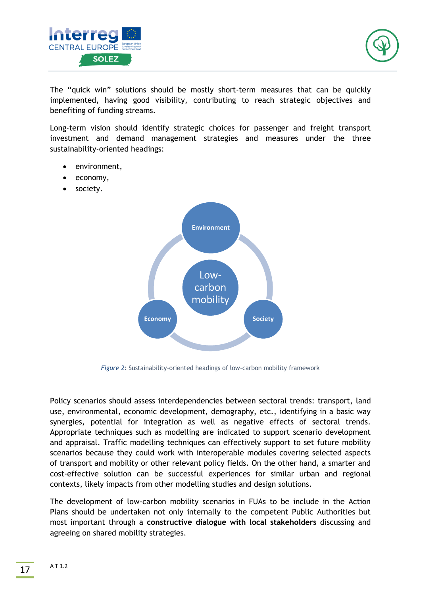



The "quick win" solutions should be mostly short-term measures that can be quickly implemented, having good visibility, contributing to reach strategic objectives and benefiting of funding streams.

Long-term vision should identify strategic choices for passenger and freight transport investment and demand management strategies and measures under the three sustainability-oriented headings:

- environment,
- economy,
- society.



*Figure 2*: Sustainability-oriented headings of low-carbon mobility framework

Policy scenarios should assess interdependencies between sectoral trends: transport, land use, environmental, economic development, demography, etc., identifying in a basic way synergies, potential for integration as well as negative effects of sectoral trends. Appropriate techniques such as modelling are indicated to support scenario development and appraisal. Traffic modelling techniques can effectively support to set future mobility scenarios because they could work with interoperable modules covering selected aspects of transport and mobility or other relevant policy fields. On the other hand, a smarter and cost-effective solution can be successful experiences for similar urban and regional contexts, likely impacts from other modelling studies and design solutions.

The development of low-carbon mobility scenarios in FUAs to be include in the Action Plans should be undertaken not only internally to the competent Public Authorities but most important through a **constructive dialogue with local stakeholders** discussing and agreeing on shared mobility strategies.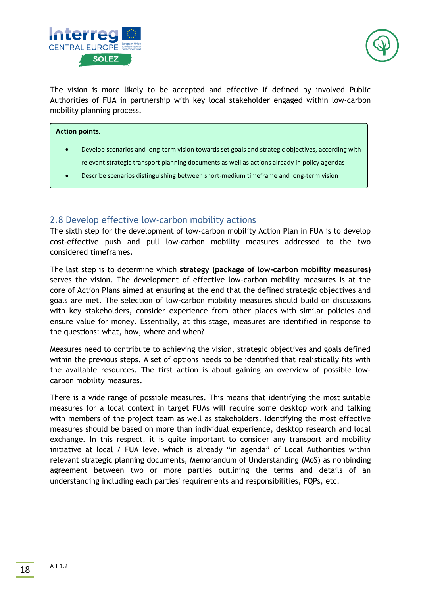



The vision is more likely to be accepted and effective if defined by involved Public Authorities of FUA in partnership with key local stakeholder engaged within low-carbon mobility planning process.

#### **Action points***:*

- Develop scenarios and long-term vision towards set goals and strategic objectives, according with relevant strategic transport planning documents as well as actions already in policy agendas
- Describe scenarios distinguishing between short-medium timeframe and long-term vision

### <span id="page-17-0"></span>2.8 Develop effective low-carbon mobility actions

The sixth step for the development of low-carbon mobility Action Plan in FUA is to develop cost-effective push and pull low-carbon mobility measures addressed to the two considered timeframes.

The last step is to determine which **strategy (package of low-carbon mobility measures)** serves the vision. The development of effective low-carbon mobility measures is at the core of Action Plans aimed at ensuring at the end that the defined strategic objectives and goals are met. The selection of low-carbon mobility measures should build on discussions with key stakeholders, consider experience from other places with similar policies and ensure value for money. Essentially, at this stage, measures are identified in response to the questions: what, how, where and when?

Measures need to contribute to achieving the vision, strategic objectives and goals defined within the previous steps. A set of options needs to be identified that realistically fits with the available resources. The first action is about gaining an overview of possible lowcarbon mobility measures.

There is a wide range of possible measures. This means that identifying the most suitable measures for a local context in target FUAs will require some desktop work and talking with members of the project team as well as stakeholders. Identifying the most effective measures should be based on more than individual experience, desktop research and local exchange. In this respect, it is quite important to consider any transport and mobility initiative at local / FUA level which is already "in agenda" of Local Authorities within relevant strategic planning documents, Memorandum of Understanding (MoS) as nonbinding agreement between two or more parties outlining the terms and details of an understanding including each parties' requirements and responsibilities, FQPs, etc.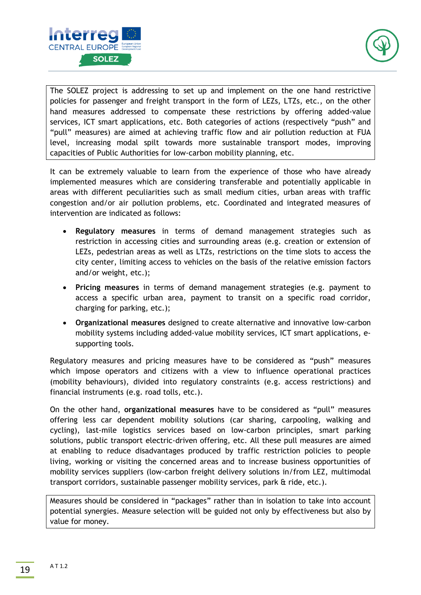



The SOLEZ project is addressing to set up and implement on the one hand restrictive policies for passenger and freight transport in the form of LEZs, LTZs, etc., on the other hand measures addressed to compensate these restrictions by offering added-value services, ICT smart applications, etc. Both categories of actions (respectively "push" and "pull" measures) are aimed at achieving traffic flow and air pollution reduction at FUA level, increasing modal spilt towards more sustainable transport modes, improving capacities of Public Authorities for low-carbon mobility planning, etc.

It can be extremely valuable to learn from the experience of those who have already implemented measures which are considering transferable and potentially applicable in areas with different peculiarities such as small medium cities, urban areas with traffic congestion and/or air pollution problems, etc. Coordinated and integrated measures of intervention are indicated as follows:

- **Regulatory measures** in terms of demand management strategies such as restriction in accessing cities and surrounding areas (e.g. creation or extension of LEZs, pedestrian areas as well as LTZs, restrictions on the time slots to access the city center, limiting access to vehicles on the basis of the relative emission factors and/or weight, etc.);
- **Pricing measures** in terms of demand management strategies (e.g. payment to access a specific urban area, payment to transit on a specific road corridor, charging for parking, etc.);
- **Organizational measures** designed to create alternative and innovative low-carbon mobility systems including added-value mobility services, ICT smart applications, esupporting tools.

Regulatory measures and pricing measures have to be considered as "push" measures which impose operators and citizens with a view to influence operational practices (mobility behaviours), divided into regulatory constraints (e.g. access restrictions) and financial instruments (e.g. road tolls, etc.).

On the other hand, **organizational measures** have to be considered as "pull" measures offering less car dependent mobility solutions (car sharing, carpooling, walking and cycling), last-mile logistics services based on low-carbon principles, smart parking solutions, public transport electric-driven offering, etc. All these pull measures are aimed at enabling to reduce disadvantages produced by traffic restriction policies to people living, working or visiting the concerned areas and to increase business opportunities of mobility services suppliers (low-carbon freight delivery solutions in/from LEZ, multimodal transport corridors, sustainable passenger mobility services, park & ride, etc.).

Measures should be considered in "packages" rather than in isolation to take into account potential synergies. Measure selection will be guided not only by effectiveness but also by value for money.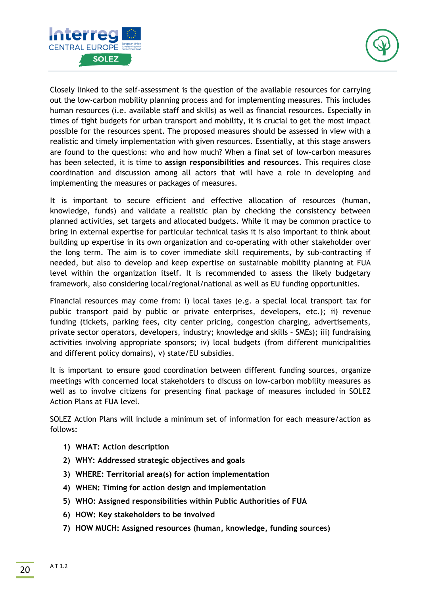



Closely linked to the self-assessment is the question of the available resources for carrying out the low-carbon mobility planning process and for implementing measures. This includes human resources (i.e. available staff and skills) as well as financial resources. Especially in times of tight budgets for urban transport and mobility, it is crucial to get the most impact possible for the resources spent. The proposed measures should be assessed in view with a realistic and timely implementation with given resources. Essentially, at this stage answers are found to the questions: who and how much? When a final set of low-carbon measures has been selected, it is time to **assign responsibilities and resources**. This requires close coordination and discussion among all actors that will have a role in developing and implementing the measures or packages of measures.

It is important to secure efficient and effective allocation of resources (human, knowledge, funds) and validate a realistic plan by checking the consistency between planned activities, set targets and allocated budgets. While it may be common practice to bring in external expertise for particular technical tasks it is also important to think about building up expertise in its own organization and co-operating with other stakeholder over the long term. The aim is to cover immediate skill requirements, by sub-contracting if needed, but also to develop and keep expertise on sustainable mobility planning at FUA level within the organization itself. It is recommended to assess the likely budgetary framework, also considering local/regional/national as well as EU funding opportunities.

Financial resources may come from: i) local taxes (e.g. a special local transport tax for public transport paid by public or private enterprises, developers, etc.); ii) revenue funding (tickets, parking fees, city center pricing, congestion charging, advertisements, private sector operators, developers, industry; knowledge and skills – SMEs); iii) fundraising activities involving appropriate sponsors; iv) local budgets (from different municipalities and different policy domains), v) state/EU subsidies.

It is important to ensure good coordination between different funding sources, organize meetings with concerned local stakeholders to discuss on low-carbon mobility measures as well as to involve citizens for presenting final package of measures included in SOLEZ Action Plans at FUA level.

SOLEZ Action Plans will include a minimum set of information for each measure/action as follows:

- **1) WHAT: Action description**
- **2) WHY: Addressed strategic objectives and goals**
- **3) WHERE: Territorial area(s) for action implementation**
- **4) WHEN: Timing for action design and implementation**
- **5) WHO: Assigned responsibilities within Public Authorities of FUA**
- **6) HOW: Key stakeholders to be involved**
- **7) HOW MUCH: Assigned resources (human, knowledge, funding sources)**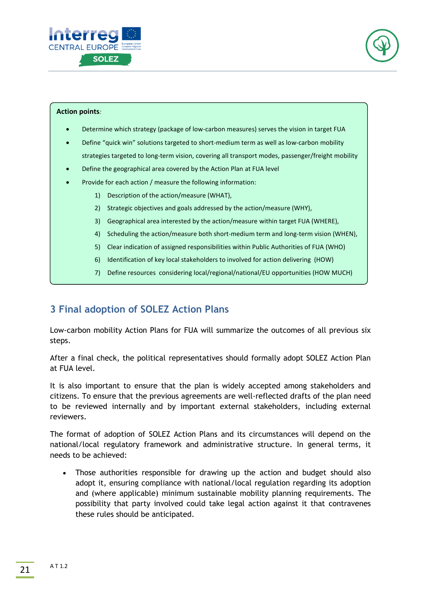



#### **Action points***:*

- Determine which strategy (package of low-carbon measures) serves the vision in target FUA
- Define "quick win" solutions targeted to short-medium term as well as low-carbon mobility strategies targeted to long-term vision, covering all transport modes, passenger/freight mobility
- Define the geographical area covered by the Action Plan at FUA level
- Provide for each action / measure the following information:
	- 1) Description of the action/measure (WHAT),
	- 2) Strategic objectives and goals addressed by the action/measure (WHY),
	- 3) Geographical area interested by the action/measure within target FUA (WHERE),
	- 4) Scheduling the action/measure both short-medium term and long-term vision (WHEN),
	- 5) Clear indication of assigned responsibilities within Public Authorities of FUA (WHO)
	- 6) Identification of key local stakeholders to involved for action delivering (HOW)
	- 7) Define resources considering local/regional/national/EU opportunities (HOW MUCH)

# <span id="page-20-0"></span>**3 Final adoption of SOLEZ Action Plans**

Low-carbon mobility Action Plans for FUA will summarize the outcomes of all previous six steps.

After a final check, the political representatives should formally adopt SOLEZ Action Plan at FUA level.

It is also important to ensure that the plan is widely accepted among stakeholders and citizens. To ensure that the previous agreements are well-reflected drafts of the plan need to be reviewed internally and by important external stakeholders, including external reviewers.

The format of adoption of SOLEZ Action Plans and its circumstances will depend on the national/local regulatory framework and administrative structure. In general terms, it needs to be achieved:

• Those authorities responsible for drawing up the action and budget should also adopt it, ensuring compliance with national/local regulation regarding its adoption and (where applicable) minimum sustainable mobility planning requirements. The possibility that party involved could take legal action against it that contravenes these rules should be anticipated.